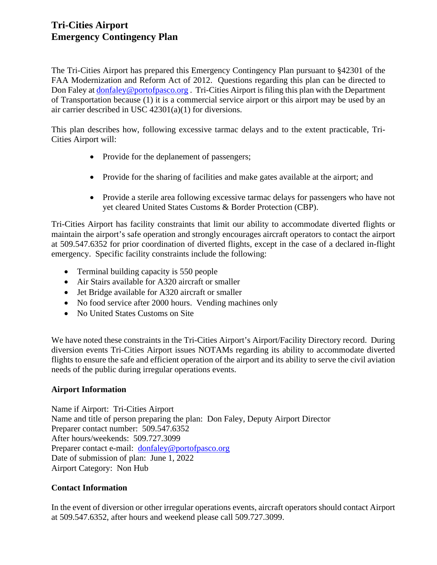# **Tri-Cities Airport Emergency Contingency Plan**

The Tri-Cities Airport has prepared this Emergency Contingency Plan pursuant to §42301 of the FAA Modernization and Reform Act of 2012. Questions regarding this plan can be directed to Don Faley at [donfaley@portofpasco.org](mailto:donfaley@portofpasco.org). Tri-Cities Airport is filing this plan with the Department of Transportation because (1) it is a commercial service airport or this airport may be used by an air carrier described in USC 42301(a)(1) for diversions.

This plan describes how, following excessive tarmac delays and to the extent practicable, Tri-Cities Airport will:

- Provide for the deplanement of passengers;
- Provide for the sharing of facilities and make gates available at the airport; and
- Provide a sterile area following excessive tarmac delays for passengers who have not yet cleared United States Customs & Border Protection (CBP).

Tri-Cities Airport has facility constraints that limit our ability to accommodate diverted flights or maintain the airport's safe operation and strongly encourages aircraft operators to contact the airport at 509.547.6352 for prior coordination of diverted flights, except in the case of a declared in-flight emergency. Specific facility constraints include the following:

- Terminal building capacity is 550 people
- Air Stairs available for A320 aircraft or smaller
- Jet Bridge available for A320 aircraft or smaller
- No food service after 2000 hours. Vending machines only
- No United States Customs on Site

We have noted these constraints in the Tri-Cities Airport's Airport/Facility Directory record. During diversion events Tri-Cities Airport issues NOTAMs regarding its ability to accommodate diverted flights to ensure the safe and efficient operation of the airport and its ability to serve the civil aviation needs of the public during irregular operations events.

# **Airport Information**

Name if Airport: Tri-Cities Airport Name and title of person preparing the plan: Don Faley, Deputy Airport Director Preparer contact number: 509.547.6352 After hours/weekends: 509.727.3099 Preparer contact e-mail: [donfaley@portofpasco.org](mailto:donfaley@portofpasco.org) Date of submission of plan: June 1, 2022 Airport Category: Non Hub

# **Contact Information**

In the event of diversion or other irregular operations events, aircraft operators should contact Airport at 509.547.6352, after hours and weekend please call 509.727.3099.